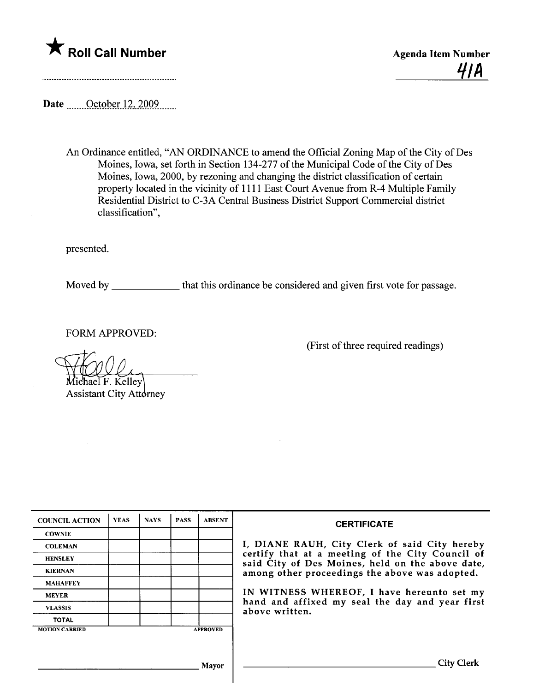

(First of three required readings)

Date <u>Cotober 12</u>, 2009

An Ordinance entitled, "AN ORDINANCE to amend the Official Zoning Map of the City of Des Moines, Iowa, set forth in Section 134-277 of the Municipal Code of the City of Des Moines, Iowa, 2000, by rezoning and changing the district classification of certain property located in the vicinity of 1111 East Court Avenue from R-4 Multiple Family Residential District to C-3A Central Business District Support Commercial district classification",

presented.

Moved by \_\_\_\_\_\_\_\_\_\_\_\_\_ that this ordinance be considered and given first vote for passage.

FORM APPROVED:

hael F. Kelley **Assistant City Attorney** 

| <b>COUNCIL ACTION</b> | <b>YEAS</b> | <b>NAYS</b> | <b>PASS</b> | <b>ABSENT</b>   | <b>CERTIFICATE</b>                                                                                   |
|-----------------------|-------------|-------------|-------------|-----------------|------------------------------------------------------------------------------------------------------|
| <b>COWNIE</b>         |             |             |             |                 |                                                                                                      |
| <b>COLEMAN</b>        |             |             |             |                 | I, DIANE RAUH, City Clerk of said City hereby                                                        |
| <b>HENSLEY</b>        |             |             |             |                 | certify that at a meeting of the City Council of<br>said City of Des Moines, held on the above date, |
| <b>KIERNAN</b>        |             |             |             |                 | among other proceedings the above was adopted.                                                       |
| <b>MAHAFFEY</b>       |             |             |             |                 |                                                                                                      |
| <b>MEYER</b>          |             |             |             |                 | IN WITNESS WHEREOF, I have hereunto set my                                                           |
| <b>VLASSIS</b>        |             |             |             |                 | hand and affixed my seal the day and year first<br>above written.                                    |
| <b>TOTAL</b>          |             |             |             |                 |                                                                                                      |
| <b>MOTION CARRIED</b> |             |             |             | <b>APPROVED</b> |                                                                                                      |
|                       |             |             |             |                 |                                                                                                      |
|                       |             |             |             |                 |                                                                                                      |
|                       |             |             |             | Mayor           |                                                                                                      |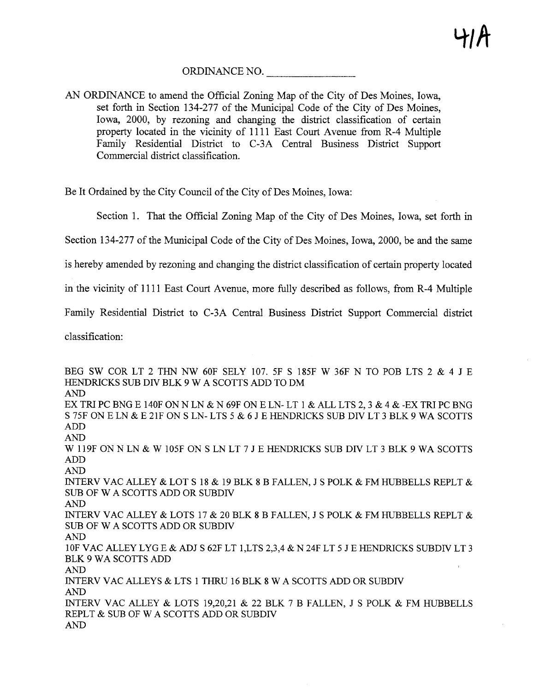ORDINANCE NO.

AN ORDINANCE to amend the Official Zoning Map of the City of Des Moines, Iowa, set forth in Section 134-277 of the Municipal Code of the City of Des Moines, Iowa, 2000, by rezoning and changing the district classification of certain property located in the vicinity of 1111 East Court Avenue from R-4 Multiple Family Residential District to C-3A Central Business District Support Commercial district classification.

Be It Ordained by the City Council of the City of Des Moines, Iowa:

Section 1. That the Official Zoning Map of the City of Des Moines, Iowa, set forth in

Section 134-277 of the Muncipal Code of the City of Des Moines, Iowa, 2000, be and the same

is hereby amended by rezoning and changing the district classification of certain property located

in the vicinity of 1111 East Court Avenue, more fully described as follows, from R-4 Multiple

Family Residential District to C-3A Central Business District Support Commercial district

classification:

BEG SW COR LT 2 THN NW 60F SELY 107. 5F S 185F W 36F N TO POB LTS 2 & 4 J E HENDRICKS SUB DIV BLK 9 W A SCOTTS ADD TO DM AND EX TRI PC BNG E 140F ON N LN & N 69F ON E LN-LT 1 & ALL LTS 2, 3 & 4 & -EX TRI PC BNG S 75F ON E LN & E 21F ON S LN- LTS 5 & 6 J E HENDRICKS SUB DIV LT 3 BLK 9 WA SCOTTS ADD AND W 119F ON N LN & W 105F ON S LN LT 7 J E HENDRICKS SUB DIV LT 3 BLK 9 WA SCOTTS ADD AN INTERV VAC ALLEY & LOT S 18 & 19 BLK 8 B FALLEN, J S POLK & FM HUBBELLS REPLT & SUB OF W A SCOTTS ADD OR SUBDIV **AND** INTERV VAC ALLEY & LOTS 17 & 20 BLK 8 B FALLEN, J S POLK & FM HUBELLS REPLT & SUB OF W A SCOTTS ADD OR SUBDrv AND 10F VAC ALLEY LYG E & ADJ S 62F LT 1, LTS 2,3,4 & N 24F LT 5 J E HENDRICKS SUBDIV LT 3 BLK 9 WA SCOTTS ADD AN INTERV VAC ALLEYS & LTS 1 THRU 16 BLK 8 W A SCOTTS ADD OR SUBDIV AN INTERV VAC ALLEY & LOTS 19,20,21 & 22 BLK 7 B FALLEN, J S POLK & FM HUBELLS REPLT & SUB OF W A SCOTTS ADD OR SUBDrv AND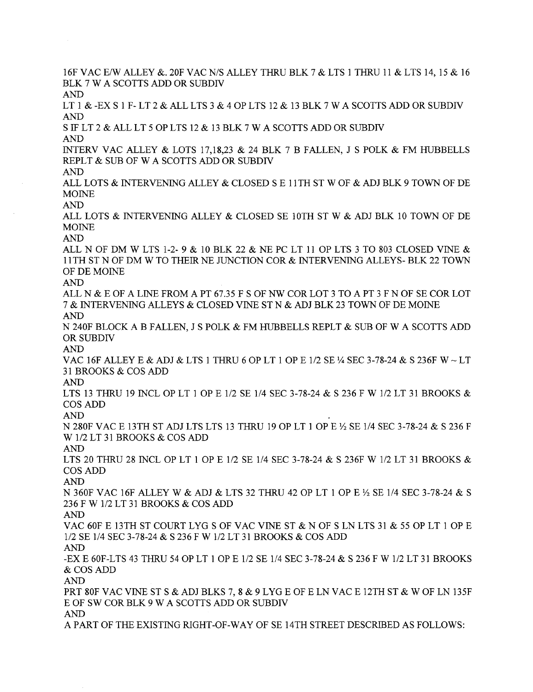16F VAC E/W ALLEY &. 20F VAC N/S ALLEY THRU BLK 7 & LTS 1 THRU 11 & LTS 14, 15 & 16 BLK 7 W A SCOTTS ADD OR SUBDIV AND LT 1 & -EX S 1 F- LT 2 & ALL LTS 3 & 4 OP LTS 12 & 13 BLK 7 W A SCOTTS ADD OR SUBDIV AN S IF LT 2 & ALL LT 5 OP LTS 12 & 13 BLK 7 W A SCOTTS ADD OR SUBDIV AND INTERV VAC ALLEY & LOTS 17,18,23 & 24 BLK 7 B FALLEN, J S POLK & FM HUBELLS REPLT & SUB OF W A SCOTTS ADD OR SUBDIV AN ALL LOTS & INTERVENIG ALLEY & CLOSED SEll TH ST W OF & ADJ BLK 9 TOWN OF DE **MOINE** AN ALL LOTS & INTERVENING ALLEY & CLOSED SE 10TH ST W & ADJ BLK 10 TOWN OF DE **MOINE** AN ALL N OF DM W LTS 1-2- 9 & 10 BLK 22 & NE PC LT 11 OP LTS 3 TO 803 CLOSED VINE & 11 TH ST N OF DM W TO THEIR NE JUNCTION COR & INTERVENING ALLEYS- BLK 22 TOWN OF DE MOIN AND ALL N  $\&$  E OF A LINE FROM A PT 67.35 F S OF NW COR LOT 3 TO A PT 3 F N OF SE COR LOT 7 & INTERVENING ALLEYS & CLOSED VINE ST N & ADJ BLK 23 TOWN OF DE MOINE AND N 240F BLOCK A B FALLEN, J S POLK & FM HUBELLS REPLT & SUB OF W A SCOTTS ADD OR SUBDIV AND VAC 16F ALLEY E & ADJ & LTS 1 THRU 6 OP LT 1 OP E 1/2 SE  $\frac{1}{2}$  SEC 3-78-24 & S 236F W  $\sim$  LT 31 BROOKS & COS ADD AN LTS 13 THRU 19 INCL OP LT 1 OP E 1/2 SE 1/4 SEC 3-78-24 & S 236 F W 1/2 LT 31 BROOKS & COS ADD AND N 280F VAC E 13TH ST ADJ LTS LTS 13 THRU 19 OP LT 1 OP E  $\frac{1}{2}$  SE 1/4 SEC 3-78-24 & S 236 F W 1/2 LT 31 BROOKS & COS ADD AND LTS 20 THRU 28 INCL OP LT 1 OP E 1/2 SE 1/4 SEC 3-78-24 & S 236F W 1/2 LT 31 BROOKS & COS ADD AND N 360F VAC 16F ALLEY W & ADJ & LTS 32 THRU 42 OP LT 1 OP E 1/2 SE 1/4 SEC 3-78-24 & S 236 F W 1/2 LT 31 BROOKS & COS ADD AND VAC 60F E 13TH ST COURT LYG S OF VAC VINE ST  $\&$  N OF S LN LTS 31  $\&$  55 OP LT 1 OP E 1/2 SE 1/4 SEC 3-78-24 & S 236 F W 1/2 LT 31 BROOKS & COS ADD AN -EX E 60F-LTS 43 THRU 54 OP LT 1 OP E 1/2 SE 1/4 SEC 3-78-24 & S 236 F W 1/2 LT 31 BROOKS & COS ADD AND PRT 80F VAC VINE ST S & ADJ BLKS 7, 8 & 9 LYG E OF E LN VAC E 12TH ST & W OF LN 135F E OF SW COR BLK 9 W A SCOTTS ADD OR SUBDIV AN A PART OF THE EXISTING RIGHT-OF-WAY OF SE 14TH STREET DESCRIBED AS FOLLOWS: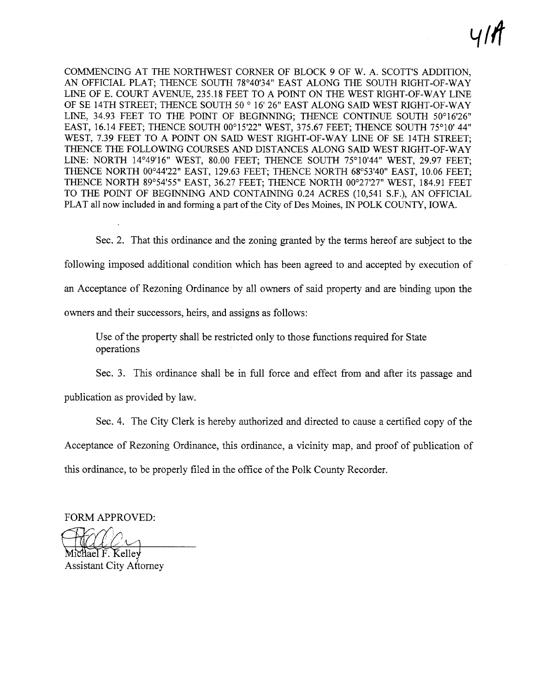$\| \cdot \cdot \|$ 

COMMENCING AT THE NORTHWEST CORNER OF BLOCK 9 OF W. A. SCOTT'S ADDITION, AN OFFICIAL PLAT; THENCE SOUTH 78°40'34" EAST ALONG THE SOUTH RIGHT-OF-WAY LINE OF E. COURT AVENUE, 235.18 FEET TO A POINT ON THE WEST RIGHT-OF-WAY LINE OF SE 14TH STREET; THENCE SOUTH 50 ° 16' 26" EAST ALONG SAID WEST RIGHT-OF-WAY LINE, 34.93 FEET TO THE POINT OF BEGINNING; THENCE CONTINUE SOUTH 50°16'26" EAST, 16.14 FEET; THENCE SOUTH 00°15'22" WEST, 375.67 FEET; THENCE SOUTH 75°10' 44" WEST, 7.39 FEET TO A POINT ON SAID WEST RIGHT-OF-WAY LINE OF SE 14TH STREET; THENCE THE FOLLOWIG COURSES AND DISTANCES ALONG SAID WEST RIGHT-OF-WAY LINE: NORTH 14°49'16" WEST, 80.00 FEET; THENCE SOUTH 75°10'44" WEST, 29.97 FEET; THENCE NORTH 00°44'22" EAST, 129.63 FEET; THENCE NORTH 68°53'40" EAST, 10.06 FEET; THENCE NORTH 89°54'55" EAST, 36.27 FEET; THENCE NORTH 00°27'27" WEST, 184.91 FEET TO THE POINT OF BEGINNING AND CONTAINING 0.24 ACRES (10,541 S.F.), AN OFFICIAL PLAT all now included in and forming a part of the City of Des Moines, IN POLK COUNTY, IOWA.

Sec. 2. That this ordinance and the zoning granted by the terms hereof are subject to the following imposed additional condition which has been agreed to and accepted by execution of an Acceptance of Rezoning Ordinance by all owners of said property and are binding upon the owners and their successors, heirs, and assigns as follows:

Use of the property shall be restricted only to those functions required for State operations

Sec. 3. This ordinance shall be in full force and effect from and after its passage and publication as provided by law.

Sec. 4. The City Clerk is hereby authorized and directed to cause a certified copy of the Acceptance of Rezoning Ordinance, this ordinance, a vicinity map, and proof of publication of this ordinance, to be properly filed in the office of the Polk County Recorder.

FORM APPROVED:

FORM APPROVED:<br>Michael F. Kelley<br>Assistant City Attorney i L

hael F. Kellev